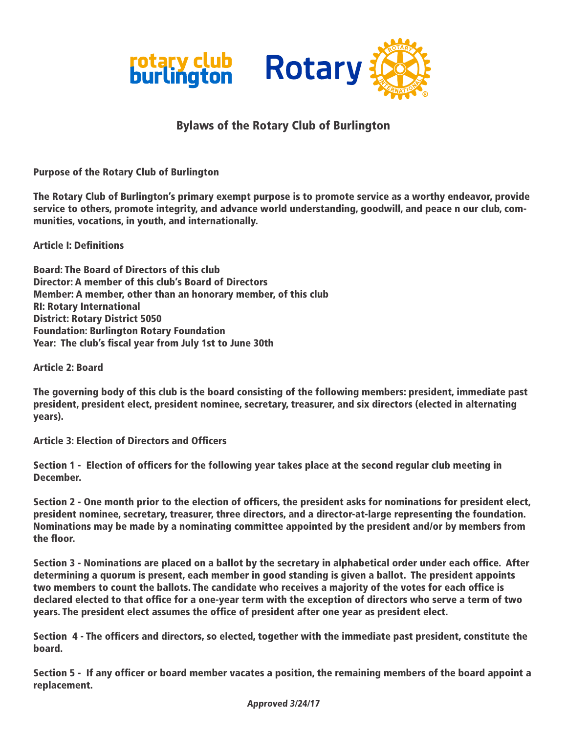

# Bylaws of the Rotary Club of Burlington

Purpose of the Rotary Club of Burlington

The Rotary Club of Burlington's primary exempt purpose is to promote service as a worthy endeavor, provide service to others, promote integrity, and advance world understanding, goodwill, and peace n our club, communities, vocations, in youth, and internationally.

Article I: Definitions

Board: The Board of Directors of this club Director: A member of this club's Board of Directors Member: A member, other than an honorary member, of this club RI: Rotary International District: Rotary District 5050 Foundation: Burlington Rotary Foundation Year: The club's fiscal year from July 1st to June 30th

Article 2: Board

The governing body of this club is the board consisting of the following members: president, immediate past president, president elect, president nominee, secretary, treasurer, and six directors (elected in alternating years).

Article 3: Election of Directors and Officers

Section 1 - Election of officers for the following year takes place at the second regular club meeting in December.

Section 2 - One month prior to the election of officers, the president asks for nominations for president elect, president nominee, secretary, treasurer, three directors, and a director-at-large representing the foundation. Nominations may be made by a nominating committee appointed by the president and/or by members from the floor.

Section 3 - Nominations are placed on a ballot by the secretary in alphabetical order under each office. After determining a quorum is present, each member in good standing is given a ballot. The president appoints two members to count the ballots. The candidate who receives a majority of the votes for each office is declared elected to that office for a one-year term with the exception of directors who serve a term of two years. The president elect assumes the office of president after one year as president elect.

Section 4 - The officers and directors, so elected, together with the immediate past president, constitute the board.

Section 5 - If any officer or board member vacates a position, the remaining members of the board appoint a replacement.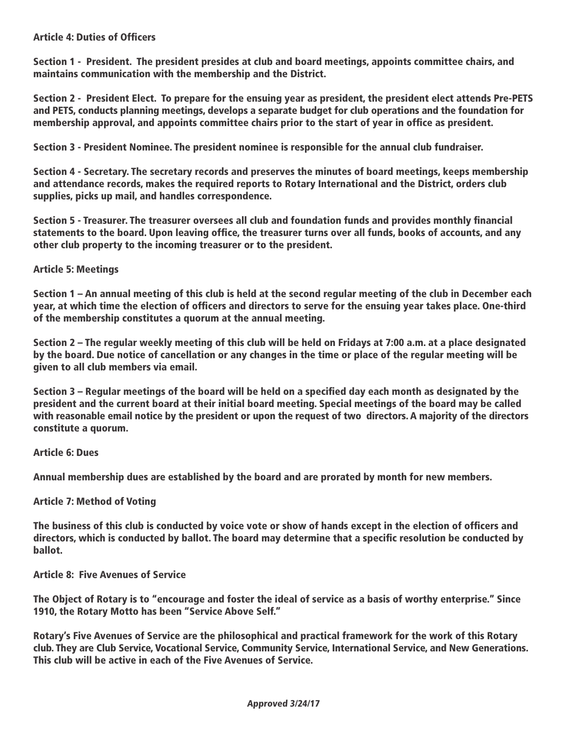## Article 4: Duties of Officers

Section 1 - President. The president presides at club and board meetings, appoints committee chairs, and maintains communication with the membership and the District.

Section 2 - President Elect. To prepare for the ensuing year as president, the president elect attends Pre-PETS and PETS, conducts planning meetings, develops a separate budget for club operations and the foundation for membership approval, and appoints committee chairs prior to the start of year in office as president.

Section 3 - President Nominee. The president nominee is responsible for the annual club fundraiser.

Section 4 - Secretary. The secretary records and preserves the minutes of board meetings, keeps membership and attendance records, makes the required reports to Rotary International and the District, orders club supplies, picks up mail, and handles correspondence.

Section 5 - Treasurer. The treasurer oversees all club and foundation funds and provides monthly financial statements to the board. Upon leaving office, the treasurer turns over all funds, books of accounts, and any other club property to the incoming treasurer or to the president.

## Article 5: Meetings

Section 1 – An annual meeting of this club is held at the second regular meeting of the club in December each year, at which time the election of officers and directors to serve for the ensuing year takes place. One-third of the membership constitutes a quorum at the annual meeting.

Section 2 – The regular weekly meeting of this club will be held on Fridays at 7:00 a.m. at a place designated by the board. Due notice of cancellation or any changes in the time or place of the regular meeting will be given to all club members via email.

Section 3 – Regular meetings of the board will be held on a specified day each month as designated by the president and the current board at their initial board meeting. Special meetings of the board may be called with reasonable email notice by the president or upon the request of two directors. A majority of the directors constitute a quorum.

Article 6: Dues

Annual membership dues are established by the board and are prorated by month for new members.

#### Article 7: Method of Voting

The business of this club is conducted by voice vote or show of hands except in the election of officers and directors, which is conducted by ballot. The board may determine that a specific resolution be conducted by ballot.

Article 8: Five Avenues of Service

The Object of Rotary is to "encourage and foster the ideal of service as a basis of worthy enterprise." Since 1910, the Rotary Motto has been "Service Above Self."

Rotary's Five Avenues of Service are the philosophical and practical framework for the work of this Rotary club. They are Club Service, Vocational Service, Community Service, International Service, and New Generations. This club will be active in each of the Five Avenues of Service.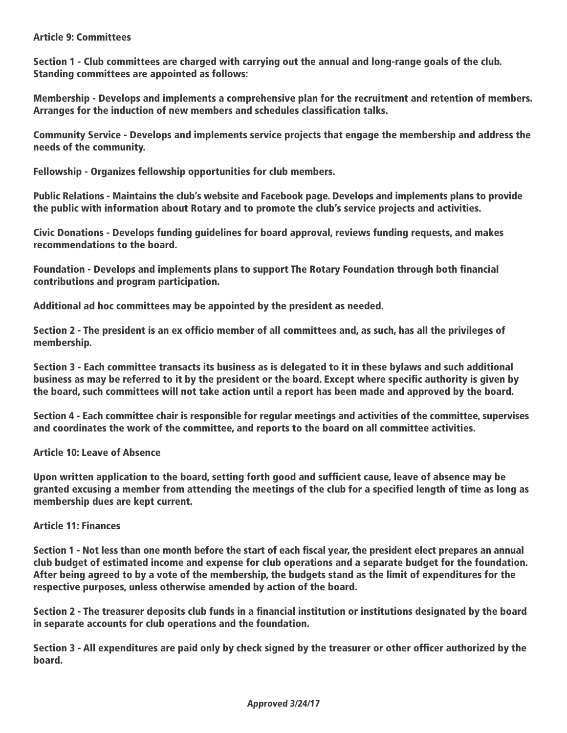## Article 9: Committees

Section 1 - Club committees are charged with carrying out the annual and long-range goals of the club. Standing committees are appointed as follows:

Membership - Develops and implements a comprehensive plan for the recruitment and retention of members. Arranges for the induction of new members and schedules classification talks.

Community Service - Develops and implements service projects that engage the membership and address the needs of the community.

Fellowship - Organizes fellowship opportunities for club members.

Public Relations - Maintains the club's website and Facebook page. Develops and implements plans to provide the public with information about Rotary and to promote the club's service projects and activities.

Civic Donations - Develops funding guidelines for board approval, reviews funding requests, and makes recommendations to the board.

Foundation - Develops and implements plans to support The Rotary Foundation through both financial contributions and program participation.

Additional ad hoc committees may be appointed by the president as needed.

Section 2 - The president is an ex officio member of all committees and, as such, has all the privileges of membership.

Section 3 - Each committee transacts its business as is delegated to it in these bylaws and such additional business as may be referred to it by the president or the board. Except where specific authority is given by the board, such committees will not take action until a report has been made and approved by the board.

Section 4 - Each committee chair is responsible for regular meetings and activities of the committee, supervises and coordinates the work of the committee, and reports to the board on all committee activities.

Article 10: Leave of Absence

Upon written application to the board, setting forth good and sufficient cause, leave of absence may be granted excusing a member from attending the meetings of the club for a specified length of time as long as membership dues are kept current.

## Article 11: Finances

Section 1 - Not less than one month before the start of each fiscal year, the president elect prepares an annual club budget of estimated income and expense for club operations and a separate budget for the foundation. After being agreed to by a vote of the membership, the budgets stand as the limit of expenditures for the respective purposes, unless otherwise amended by action of the board.

Section 2 - The treasurer deposits club funds in a financial institution or institutions designated by the board in separate accounts for club operations and the foundation.

Section 3 - All expenditures are paid only by check signed by the treasurer or other officer authorized by the board.